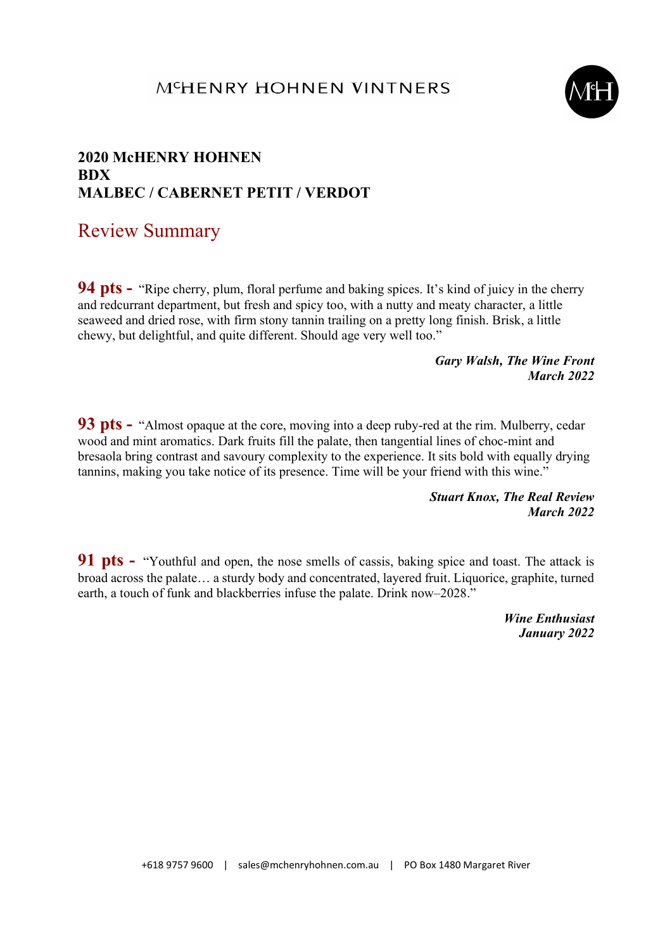#### MCHENRY HOHNEN VINTNERS



### 2020 McHENRY HOHNEN **RDX** MALBEC / CABERNET PETIT / VERDOT

# Review Summary

**94 pts -** "Ripe cherry, plum, floral perfume and baking spices. It's kind of juicy in the cherry and redcurrant department, but fresh and spicy too, with a nutty and meaty character, a little seaweed and dried rose, with firm stony tannin trailing on a pretty long finish. Brisk, a little chewy, but delightful, and quite different. Should age very well too."

#### Gary Walsh, The Wine Front March 2022

93 pts - "Almost opaque at the core, moving into a deep ruby-red at the rim. Mulberry, cedar wood and mint aromatics. Dark fruits fill the palate, then tangential lines of choc-mint and bresaola bring contrast and savoury complexity to the experience. It sits bold with equally drying tannins, making you take notice of its presence. Time will be your friend with this wine."

> Stuart Knox, The Real Review March 2022

91 pts - "Youthful and open, the nose smells of cassis, baking spice and toast. The attack is broad across the palate… a sturdy body and concentrated, layered fruit. Liquorice, graphite, turned earth, a touch of funk and blackberries infuse the palate. Drink now–2028."

> Wine Enthusiast January 2022